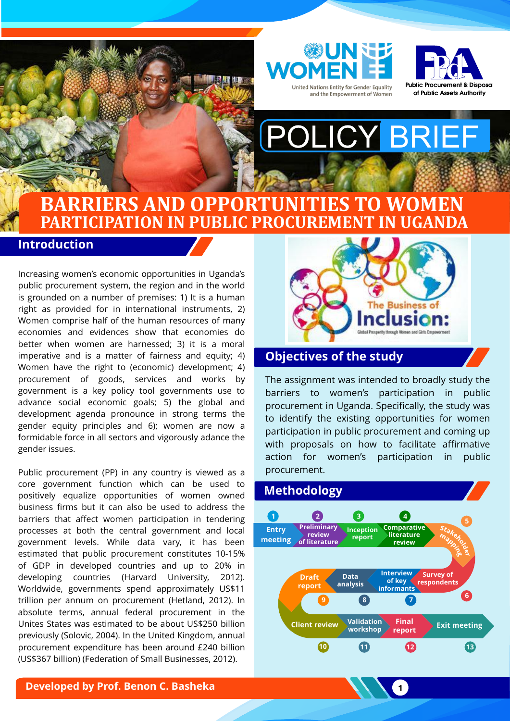



# POLICY BRIEF

## **BARRIERS AND OPPORTUNITIES TO WOMEN PARTICIPATION IN PUBLIC PROCUREMENT IN UGANDA**

## **Introduction**

Increasing women's economic opportunities in Uganda's public procurement system, the region and in the world is grounded on a number of premises: 1) It is a human right as provided for in international instruments, 2) Women comprise half of the human resources of many economies and evidences show that economies do better when women are harnessed; 3) it is a moral imperative and is a matter of fairness and equity; 4) Women have the right to (economic) development; 4) procurement of goods, services and works by government is a key policy tool governments use to advance social economic goals; 5) the global and development agenda pronounce in strong terms the gender equity principles and 6); women are now a formidable force in all sectors and vigorously adance the gender issues.

Public procurement (PP) in any country is viewed as a core government function which can be used to positively equalize opportunities of women owned business firms but it can also be used to address the barriers that affect women participation in tendering processes at both the central government and local government levels. While data vary, it has been estimated that public procurement constitutes 10-15% of GDP in developed countries and up to 20% in developing countries (Harvard University, 2012). Worldwide, governments spend approximately US\$11 trillion per annum on procurement (Hetland, 2012). In absolute terms, annual federal procurement in the Unites States was estimated to be about US\$250 billion previously (Solovic, 2004). In the United Kingdom, annual procurement expenditure has been around £240 billion (US\$367 billion) (Federation of Small Businesses, 2012).



## **Objectives of the study**

The assignment was intended to broadly study the barriers to women's participation in public procurement in Uganda. Specifically, the study was to identify the existing opportunities for women participation in public procurement and coming up with proposals on how to facilitate affirmative action for women's participation in public procurement.



 $\overline{\mathbf{1}}$ 

**Developed by Prof. Benon C. Basheka**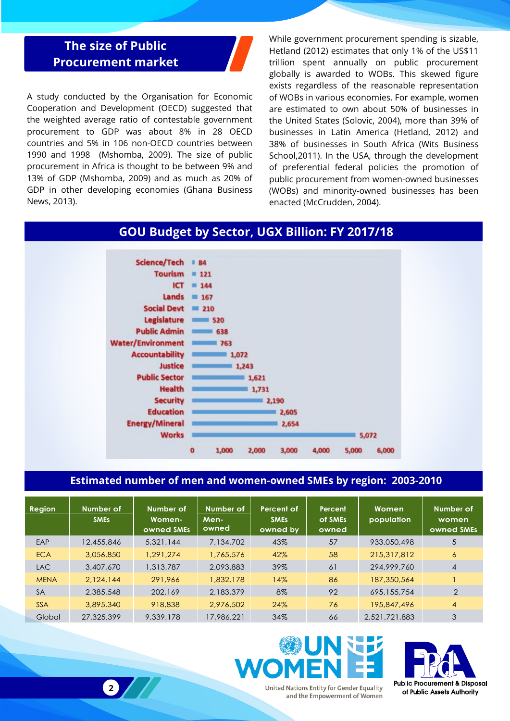## **The size of Public Procurement market**

CURRICULUM VITAE TEMPLATE **2**

A study conducted by the Organisation for Economic Cooperation and Development (OECD) suggested that the weighted average ratio of contestable government procurement to GDP was about 8% in 28 OECD countries and 5% in 106 non-OECD countries between 1990 and 1998 (Mshomba, 2009). The size of public procurement in Africa is thought to be between 9% and 13% of GDP (Mshomba, 2009) and as much as 20% of GDP in other developing economies (Ghana Business News, 2013).

While government procurement spending is sizable, Hetland (2012) estimates that only 1% of the US\$11 trillion spent annually on public procurement globally is awarded to WOBs. This skewed figure exists regardless of the reasonable representation of WOBs in various economies. For example, women are estimated to own about 50% of businesses in the United States (Solovic, 2004), more than 39% of businesses in Latin America (Hetland, 2012) and 38% of businesses in South Africa (Wits Business School,2011). In the USA, through the development of preferential federal policies the promotion of public procurement from women-owned businesses (WOBs) and minority-owned businesses has been enacted (McCrudden, 2004).

## **GOU Budget by Sector, UGX Billion: FY 2017/18**



#### **Estimated number of men and women-owned SMEs by region: 2003-2010**

| <b>Region</b> | Number of<br><b>SMEs</b> | Number of<br>Women-<br>owned SMEs | Number of<br>Men-<br>owned | Percent of<br><b>SMES</b><br>owned by | Percent<br>of SMEs<br>owned | Women<br>population | Number of<br>women<br>owned SMEs |
|---------------|--------------------------|-----------------------------------|----------------------------|---------------------------------------|-----------------------------|---------------------|----------------------------------|
| EAP           | 12,455,846               | 5,321,144                         | 7,134,702                  | 43%                                   | 57                          | 933,050,498         | 5                                |
| <b>ECA</b>    | 3,056,850                | 1,291,274                         | 1,765,576                  | 42%                                   | 58                          | 215,317,812         | $\epsilon$                       |
| <b>LAC</b>    | 3,407,670                | 1,313,787                         | 2.093.883                  | 39%                                   | 61                          | 294,999,760         | $\overline{4}$                   |
| <b>MENA</b>   | 2,124,144                | 291,966                           | 1,832,178                  | 14%                                   | 86                          | 187,350,564         |                                  |
| <b>SA</b>     | 2,385,548                | 202,169                           | 2,183,379                  | 8%                                    | 92                          | 695,155,754         | 2                                |
| <b>SSA</b>    | 3,895,340                | 918,838                           | 2,976,502                  | 24%                                   | 76                          | 195,847,496         | $\overline{4}$                   |
| Global        | 27,325,399               | 9,339,178                         | 17,986,221                 | 34%                                   | 66                          | 2.521.721.883       | 3                                |



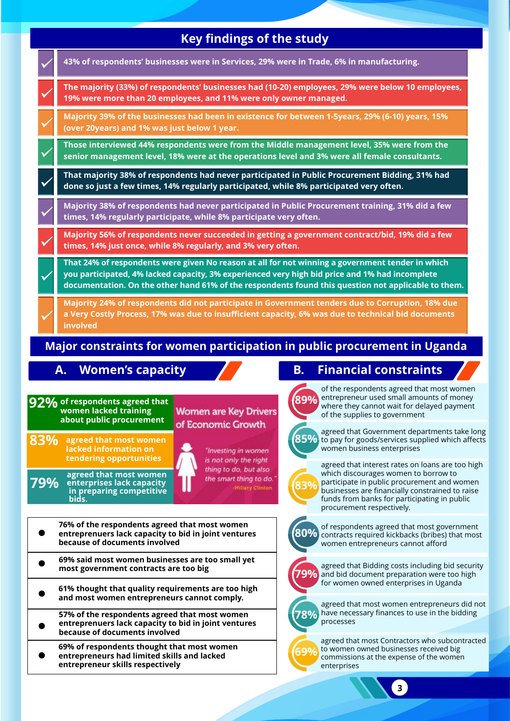| <b>Key findings of the study</b>                                                                                                                 |                                                                                                                                                                                                                                                                                                                                                                                      |                                                                                                                                                                                                                                                                                                                                                                                                                                                                                 |  |  |  |  |  |  |  |  |
|--------------------------------------------------------------------------------------------------------------------------------------------------|--------------------------------------------------------------------------------------------------------------------------------------------------------------------------------------------------------------------------------------------------------------------------------------------------------------------------------------------------------------------------------------|---------------------------------------------------------------------------------------------------------------------------------------------------------------------------------------------------------------------------------------------------------------------------------------------------------------------------------------------------------------------------------------------------------------------------------------------------------------------------------|--|--|--|--|--|--|--|--|
|                                                                                                                                                  | 43% of respondents' businesses were in Services, 29% were in Trade, 6% in manufacturing.                                                                                                                                                                                                                                                                                             |                                                                                                                                                                                                                                                                                                                                                                                                                                                                                 |  |  |  |  |  |  |  |  |
|                                                                                                                                                  | The majority (33%) of respondents' businesses had (10-20) employees, 29% were below 10 employees,<br>19% were more than 20 employees, and 11% were only owner managed.                                                                                                                                                                                                               |                                                                                                                                                                                                                                                                                                                                                                                                                                                                                 |  |  |  |  |  |  |  |  |
|                                                                                                                                                  | Majority 39% of the businesses had been in existence for between 1-5years, 29% (6-10) years, 15%<br>(over 20years) and 1% was just below 1 year.                                                                                                                                                                                                                                     |                                                                                                                                                                                                                                                                                                                                                                                                                                                                                 |  |  |  |  |  |  |  |  |
|                                                                                                                                                  | Those interviewed 44% respondents were from the Middle management level, 35% were from the<br>senior management level, 18% were at the operations level and 3% were all female consultants.                                                                                                                                                                                          |                                                                                                                                                                                                                                                                                                                                                                                                                                                                                 |  |  |  |  |  |  |  |  |
|                                                                                                                                                  | That majority 38% of respondents had never participated in Public Procurement Bidding, 31% had<br>done so just a few times, 14% regularly participated, while 8% participated very often.                                                                                                                                                                                            |                                                                                                                                                                                                                                                                                                                                                                                                                                                                                 |  |  |  |  |  |  |  |  |
|                                                                                                                                                  | Majority 38% of respondents had never participated in Public Procurement training, 31% did a few<br>times, 14% regularly participate, while 8% participate very often.                                                                                                                                                                                                               |                                                                                                                                                                                                                                                                                                                                                                                                                                                                                 |  |  |  |  |  |  |  |  |
|                                                                                                                                                  | Majority 56% of respondents never succeeded in getting a government contract/bid, 19% did a few<br>times, 14% just once, while 8% regularly, and 3% very often.                                                                                                                                                                                                                      |                                                                                                                                                                                                                                                                                                                                                                                                                                                                                 |  |  |  |  |  |  |  |  |
|                                                                                                                                                  | That 24% of respondents were given No reason at all for not winning a government tender in which<br>you participated, 4% lacked capacity, 3% experienced very high bid price and 1% had incomplete<br>documentation. On the other hand 61% of the respondents found this question not applicable to them.                                                                            |                                                                                                                                                                                                                                                                                                                                                                                                                                                                                 |  |  |  |  |  |  |  |  |
|                                                                                                                                                  | Majority 24% of respondents did not participate in Government tenders due to Corruption, 18% due<br>a Very Costly Process, 17% was due to insufficient capacity, 6% was due to technical bid documents<br>involved                                                                                                                                                                   |                                                                                                                                                                                                                                                                                                                                                                                                                                                                                 |  |  |  |  |  |  |  |  |
| Major constraints for women participation in public procurement in Uganda<br><b>Financial constraints</b><br><b>Women's capacity</b><br>В.<br>А. |                                                                                                                                                                                                                                                                                                                                                                                      |                                                                                                                                                                                                                                                                                                                                                                                                                                                                                 |  |  |  |  |  |  |  |  |
| 83%<br>79%                                                                                                                                       | $92\%$ of respondents agreed that<br>women lacked training<br><b>Women are Key Drivers</b><br>about public procurement<br>of Economic Growth<br>agreed that most women<br>lacked information on<br>"Investing in women<br>tendering opportunities<br>is not only the right<br>thing to do, but also<br>agreed that most women<br>the smart thing to do.<br>enterprises lack capacity | of the respondents agreed that most women<br>entrepreneur used small amounts of money<br>(89%)<br>where they cannot wait for delayed payment<br>of the supplies to government<br>agreed that Government departments take long<br>$\overline{85\%}$<br>to pay for goods/services supplied which affects<br>women business enterprises<br>agreed that interest rates on loans are too high<br>which discourages women to borrow to<br>participate in public procurement and women |  |  |  |  |  |  |  |  |
|                                                                                                                                                  | Hillary Clinton<br>in preparing competitive<br>bids.<br>76% of the respondents agreed that most women<br>entreprenuers lack capacity to bid in joint ventures<br>because of documents involved                                                                                                                                                                                       | businesses are financially constrained to raise<br>funds from banks for participating in public<br>procurement respectively.<br>of respondents agreed that most government<br>80%<br>contracts required kickbacks (bribes) that most<br>women entrepreneurs cannot afford                                                                                                                                                                                                       |  |  |  |  |  |  |  |  |

- **69% said most women businesses are too small yet most government contracts are too big**
- **61% thought that quality requirements are too high and most women entrepreneurs cannot comply.**
- **57% of the respondents agreed that most women entreprenuers lack capacity to bid in joint ventures because of documents involved**
- **69% of respondents thought that most women entrepreneurs had limited skills and lacked entrepreneur skills respectively**

agreed that most women entrepreneurs did not have necessary finances to use in the bidding processes

agreed that Bidding costs including bid security and bid document preparation were too high for women owned enterprises in Uganda

**79%**

**78%**

**69%** agreed that most Contractors who subcontracted to women owned businesses received big commissions at the expense of the women enterprises

 $3<sup>2</sup>$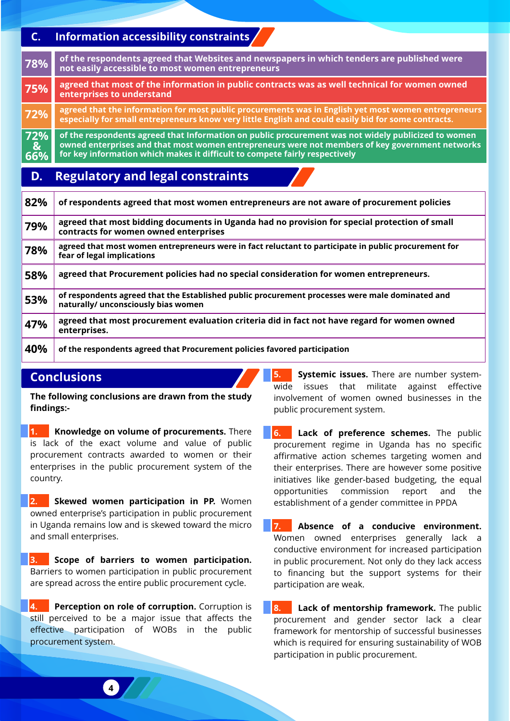#### **C. Information accessibility constraints**

| 78%                  | of the respondents agreed that Websites and newspapers in which tenders are published were<br>not easily accessible to most women entrepreneurs                                                                                                                                       |
|----------------------|---------------------------------------------------------------------------------------------------------------------------------------------------------------------------------------------------------------------------------------------------------------------------------------|
| 75%                  | agreed that most of the information in public contracts was as well technical for women owned<br>enterprises to understand                                                                                                                                                            |
| 72%                  | agreed that the information for most public procurements was in English yet most women entrepreneurs<br>especially for small entrepreneurs know very little English and could easily bid for some contracts.                                                                          |
| 72%<br>$rac{8}{66%}$ | of the respondents agreed that Information on public procurement was not widely publicized to women<br>owned enterprises and that most women entrepreneurs were not members of key government networks<br>for key information which makes it difficult to compete fairly respectively |
| D.                   | <b>Regulatory and legal constraints</b>                                                                                                                                                                                                                                               |

| 82% | of respondents agreed that most women entrepreneurs are not aware of procurement policies                                              |
|-----|----------------------------------------------------------------------------------------------------------------------------------------|
| 79% | agreed that most bidding documents in Uganda had no provision for special protection of small<br>contracts for women owned enterprises |
| 78% | agreed that most women entrepreneurs were in fact reluctant to participate in public procurement for<br>fear of legal implications     |
| 58% | agreed that Procurement policies had no special consideration for women entrepreneurs.                                                 |
| 53% | of respondents agreed that the Established public procurement processes were male dominated and<br>naturally/ unconsciously bias women |
| 47% | agreed that most procurement evaluation criteria did in fact not have regard for women owned<br>enterprises.                           |
| 40% | of the respondents agreed that Procurement policies favored participation                                                              |

## **Conclusions**

**The following conclusions are drawn from the study findings:-**

**1. Knowledge on volume of procurements.** There is lack of the exact volume and value of public procurement contracts awarded to women or their enterprises in the public procurement system of the country.

**2. Skewed women participation in PP.** Women owned enterprise's participation in public procurement in Uganda remains low and is skewed toward the micro and small enterprises.

**3. Scope of barriers to women participation.**  Barriers to women participation in public procurement are spread across the entire public procurement cycle.

**4. Perception on role of corruption.** Corruption is still perceived to be a major issue that affects the effective participation of WOBs in the public procurement system.

**5. Systemic issues.** There are number systemwide issues that militate against effective involvement of women owned businesses in the public procurement system.

**6. Lack of preference schemes.** The public procurement regime in Uganda has no specific affirmative action schemes targeting women and their enterprises. There are however some positive initiatives like gender-based budgeting, the equal opportunities commission report and the establishment of a gender committee in PPDA

**7. Absence of a conducive environment.**  Women owned enterprises generally lack a conductive environment for increased participation in public procurement. Not only do they lack access to financing but the support systems for their participation are weak.

**8.** Lack of mentorship framework. The public procurement and gender sector lack a clear framework for mentorship of successful businesses which is required for ensuring sustainability of WOB participation in public procurement.

CURRICULUM VITAE TEMPLATE **4 4**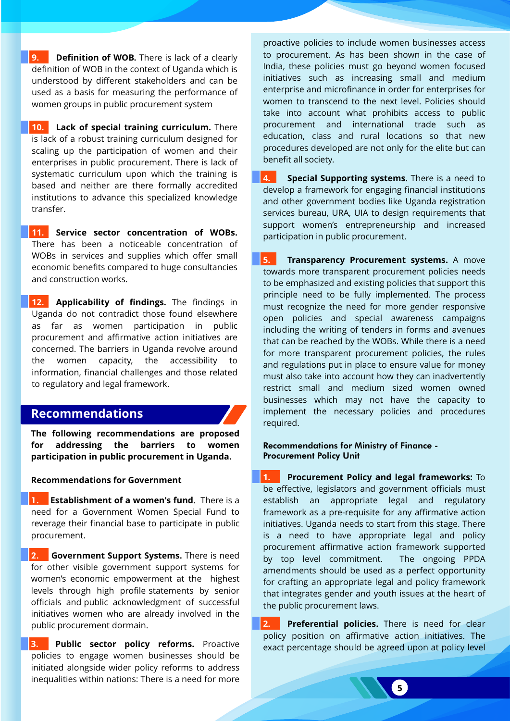**9. Definition of WOB.** There is lack of a clearly definition of WOB in the context of Uganda which is understood by different stakeholders and can be used as a basis for measuring the performance of women groups in public procurement system

**10. Lack of special training curriculum.** There is lack of a robust training curriculum designed for scaling up the participation of women and their enterprises in public procurement. There is lack of systematic curriculum upon which the training is based and neither are there formally accredited institutions to advance this specialized knowledge transfer.

**11. Service sector concentration of WOBs.** There has been a noticeable concentration of WOBs in services and supplies which offer small economic benefits compared to huge consultancies and construction works.

**12. Applicability of findings.** The findings in Uganda do not contradict those found elsewhere as far as women participation in public procurement and affirmative action initiatives are concerned. The barriers in Uganda revolve around the women capacity, the accessibility to information, financial challenges and those related to regulatory and legal framework.

#### **Recommendations**

**The following recommendations are proposed for addressing the barriers to women participation in public procurement in Uganda.** 

#### **Recommendations for Government**

1. **Establishment of a women's fund**. There is a need for a Government Women Special Fund to reverage their financial base to participate in public procurement.

2. **Government Support Systems.** There is need for other visible government support systems for women's economic empowerment at the highest levels through high profile statements by senior officials and public acknowledgment of successful initiatives women who are already involved in the public procurement dormain.

**3. Public sector policy reforms.** Proactive policies to engage women businesses should be initiated alongside wider policy reforms to address inequalities within nations: There is a need for more

proactive policies to include women businesses access to procurement. As has been shown in the case of India, these policies must go beyond women focused initiatives such as increasing small and medium enterprise and microfinance in order for enterprises for women to transcend to the next level. Policies should take into account what prohibits access to public procurement and international trade such as education, class and rural locations so that new procedures developed are not only for the elite but can benefit all society.

**4. Special Supporting systems**. There is a need to develop a framework for engaging financial institutions and other government bodies like Uganda registration services bureau, URA, UIA to design requirements that support women's entrepreneurship and increased participation in public procurement.

**5. Transparency Procurement systems.** A move towards more transparent procurement policies needs to be emphasized and existing policies that support this principle need to be fully implemented. The process must recognize the need for more gender responsive open policies and special awareness campaigns including the writing of tenders in forms and avenues that can be reached by the WOBs. While there is a need for more transparent procurement policies, the rules and regulations put in place to ensure value for money must also take into account how they can inadvertently restrict small and medium sized women owned businesses which may not have the capacity to implement the necessary policies and procedures required.

Recommendations for Ministry of Finance - Procurement Policy Unit

**1. Procurement Policy and legal frameworks:** To be effective, legislators and government officials must establish an appropriate legal and regulatory framework as a pre-requisite for any affirmative action initiatives. Uganda needs to start from this stage. There is a need to have appropriate legal and policy procurement affirmative action framework supported by top level commitment. The ongoing PPDA amendments should be used as a perfect opportunity for crafting an appropriate legal and policy framework that integrates gender and youth issues at the heart of the public procurement laws.

**2. Preferential policies.** There is need for clear policy position on affirmative action initiatives. The exact percentage should be agreed upon at policy level

**5** CURRICULUM VITAE TEMPLATE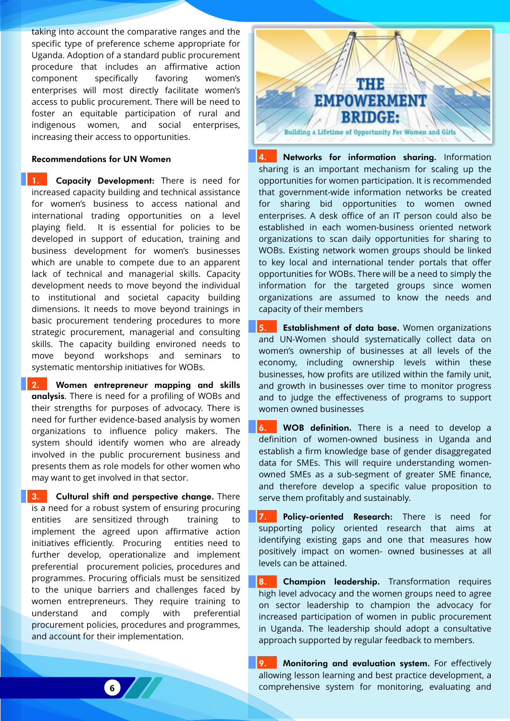taking into account the comparative ranges and the specific type of preference scheme appropriate for Uganda. Adoption of a standard public procurement procedure that includes an affirmative action component specifically favoring women's enterprises will most directly facilitate women's access to public procurement. There will be need to foster an equitable participation of rural and indigenous women, and social enterprises, increasing their access to opportunities.

#### Recommendations for UN Women

1. Capacity Development: There is need for increased capacity building and technical assistance for women's business to access national and international trading opportunities on a level playing field. It is essential for policies to be developed in support of education, training and business development for women's businesses which are unable to compete due to an apparent lack of technical and managerial skills. Capacity development needs to move beyond the individual to institutional and societal capacity building dimensions. It needs to move beyond trainings in basic procurement tendering procedures to more strategic procurement, managerial and consulting skills. The capacity building environed needs to move beyond workshops and seminars to systematic mentorship initiatives for WOBs.

2. Women entrepreneur mapping and skills analysis. There is need for a profiling of WOBs and their strengths for purposes of advocacy. There is need for further evidence-based analysis by women organizations to influence policy makers. The system should identify women who are already involved in the public procurement business and presents them as role models for other women who may want to get involved in that sector.

3. Cultural shift and perspective change. There is a need for a robust system of ensuring procuring entities are sensitized through training to implement the agreed upon affirmative action initiatives efficiently. Procuring entities need to further develop, operationalize and implement preferential procurement policies, procedures and programmes. Procuring officials must be sensitized to the unique barriers and challenges faced by women entrepreneurs. They require training to understand and comply with preferential procurement policies, procedures and programmes, and account for their implementation.



4. Networks for information sharing. Information sharing is an important mechanism for scaling up the opportunities for women participation. It is recommended that government-wide information networks be created for sharing bid opportunities to women owned enterprises. A desk office of an IT person could also be established in each women-business oriented network organizations to scan daily opportunities for sharing to WOBs. Existing network women groups should be linked to key local and international tender portals that offer opportunities for WOBs. There will be a need to simply the information for the targeted groups since women organizations are assumed to know the needs and capacity of their members

5. Establishment of data base. Women organizations and UN-Women should systematically collect data on women's ownership of businesses at all levels of the economy, including ownership levels within these businesses, how profits are utilized within the family unit, and growth in businesses over time to monitor progress and to judge the effectiveness of programs to support women owned businesses

6. WOB definition. There is a need to develop a definition of women-owned business in Uganda and establish a firm knowledge base of gender disaggregated data for SMEs. This will require understanding womenowned SMEs as a sub-segment of greater SME finance, and therefore develop a specific value proposition to serve them profitably and sustainably.

7. Policy-oriented Research: There is need for supporting policy oriented research that aims at identifying existing gaps and one that measures how positively impact on women- owned businesses at all levels can be attained.

8. Champion leadership. Transformation requires high level advocacy and the women groups need to agree on sector leadership to champion the advocacy for increased participation of women in public procurement in Uganda. The leadership should adopt a consultative approach supported by regular feedback to members.

9. Monitoring and evaluation system. For effectively allowing lesson learning and best practice development, a **CURRICULUM COMPREHENSIVE SYSTEM for monitoring, evaluating and**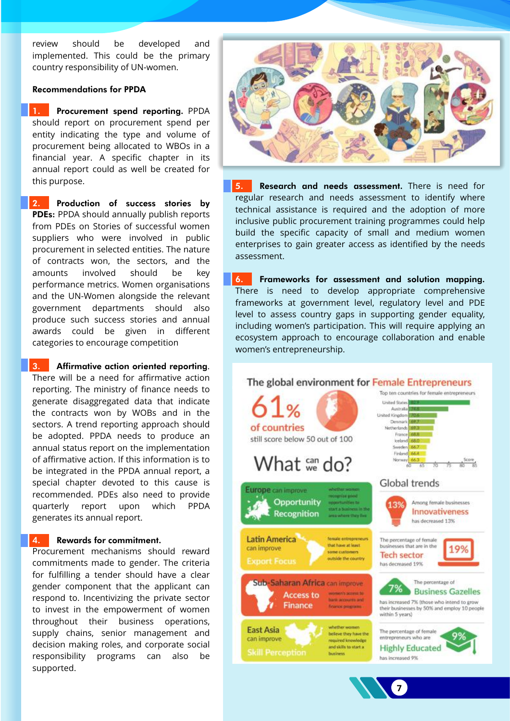review should be developed and implemented. This could be the primary country responsibility of UN-women.

#### Recommendations for PPDA

1. Procurement spend reporting. PPDA should report on procurement spend per entity indicating the type and volume of procurement being allocated to WBOs in a financial year. A specific chapter in its annual report could as well be created for this purpose.

2. Production of success stories by PDEs: PPDA should annually publish reports from PDEs on Stories of successful women suppliers who were involved in public procurement in selected entities. The nature of contracts won, the sectors, and the amounts involved should be key performance metrics. Women organisations and the UN-Women alongside the relevant government departments should also produce such success stories and annual awards could be given in different categories to encourage competition

3. Affirmative action oriented reporting. There will be a need for affirmative action reporting. The ministry of finance needs to generate disaggregated data that indicate the contracts won by WOBs and in the sectors. A trend reporting approach should be adopted. PPDA needs to produce an annual status report on the implementation of affirmative action. If this information is to be integrated in the PPDA annual report, a special chapter devoted to this cause is recommended. PDEs also need to provide quarterly report upon which PPDA generates its annual report.

4. Rewards for commitment.

Procurement mechanisms should reward commitments made to gender. The criteria for fulfilling a tender should have a clear gender component that the applicant can respond to. Incentivizing the private sector to invest in the empowerment of women throughout their business operations, supply chains, senior management and decision making roles, and corporate social responsibility programs can also be supported.



5. Research and needs assessment. There is need for regular research and needs assessment to identify where technical assistance is required and the adoption of more inclusive public procurement training programmes could help build the specific capacity of small and medium women enterprises to gain greater access as identified by the needs assessment.

6. Frameworks for assessment and solution mapping. There is need to develop appropriate comprehensive frameworks at government level, regulatory level and PDE level to assess country gaps in supporting gender equality, including women's participation. This will require applying an ecosystem approach to encourage collaboration and enable women's entrepreneurship.



**7** CURRICULUM VITAE TEMPLATE